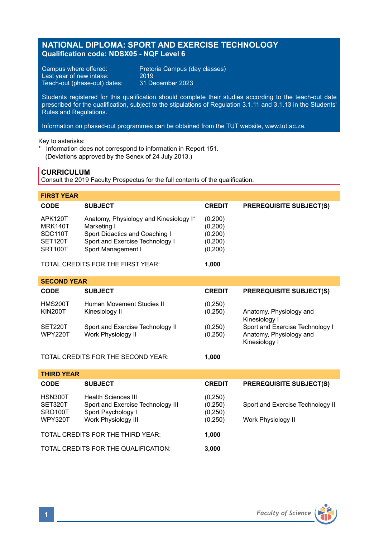# **NATIONAL DIPLOMA: SPORT AND EXERCISE TECHNOLOGY Qualification code: NDSX05 - NQF Level 6**

Campus where offered: Pretoria Campus (day classes)<br>Last year of new intake: 2019 Last year of new intake: 2019<br>Teach-out (phase-out) dates: 31 December 2023 Teach-out (phase-out) dates:

Students registered for this qualification should complete their studies according to the teach-out date prescribed for the qualification, subject to the stipulations of Regulation 3.1.11 and 3.1.13 in the Students' Rules and Regulations.

Information on phased-out programmes can be obtained from the TUT website, www.tut.ac.za.

Key to asterisks:

\* Information does not correspond to information in Report 151. (Deviations approved by the Senex of 24 July 2013.)

# **CURRICULUM**

Consult the 2019 Faculty Prospectus for the full contents of the qualification.

| <b>FIRST YEAR</b>                                                |                                                                                                                                                  |                                                     |                                |
|------------------------------------------------------------------|--------------------------------------------------------------------------------------------------------------------------------------------------|-----------------------------------------------------|--------------------------------|
| <b>CODE</b>                                                      | <b>SUBJECT</b>                                                                                                                                   | <b>CREDIT</b>                                       | <b>PREREQUISITE SUBJECT(S)</b> |
| APK120T<br>MRK140T<br>SDC110T<br>SET <sub>120</sub> T<br>SRT100T | Anatomy, Physiology and Kinesiology I*<br>Marketing I<br>Sport Didactics and Coaching I<br>Sport and Exercise Technology I<br>Sport Management I | (0,200)<br>(0,200)<br>(0,200)<br>(0,200)<br>(0,200) |                                |

TOTAL CREDITS FOR THE FIRST YEAR: **1,000**

| <b>SECOND YEAR</b>               |                                                        |                      |                                                                             |  |  |
|----------------------------------|--------------------------------------------------------|----------------------|-----------------------------------------------------------------------------|--|--|
| <b>CODE</b>                      | <b>SUBJECT</b>                                         | <b>CREDIT</b>        | <b>PREREQUISITE SUBJECT(S)</b>                                              |  |  |
| <b>HMS200T</b><br><b>KIN200T</b> | Human Movement Studies II<br>Kinesiology II            | (0, 250)<br>(0,250)  | Anatomy, Physiology and<br>Kinesiology I                                    |  |  |
| SET220T<br><b>WPY220T</b>        | Sport and Exercise Technology II<br>Work Physiology II | (0, 250)<br>(0, 250) | Sport and Exercise Technology I<br>Anatomy, Physiology and<br>Kinesiology I |  |  |

TOTAL CREDITS FOR THE SECOND YEAR: **1,000**

| <b>THIRD YEAR</b>                                            |                                                                                                              |                                          |                                                        |
|--------------------------------------------------------------|--------------------------------------------------------------------------------------------------------------|------------------------------------------|--------------------------------------------------------|
| <b>CODE</b>                                                  | <b>SUBJECT</b>                                                                                               | <b>CREDIT</b>                            | <b>PREREQUISITE SUBJECT(S)</b>                         |
| HSN300T<br>SET320T<br>SRO <sub>100</sub> T<br><b>WPY320T</b> | <b>Health Sciences III</b><br>Sport and Exercise Technology III<br>Sport Psychology I<br>Work Physiology III | (0,250)<br>(0,250)<br>(0,250)<br>(0,250) | Sport and Exercise Technology II<br>Work Physiology II |
| TOTAL CREDITS FOR THE THIRD YEAR:                            |                                                                                                              | 1.000                                    |                                                        |
| TOTAL CREDITS FOR THE QUALIFICATION:                         |                                                                                                              | 3.000                                    |                                                        |

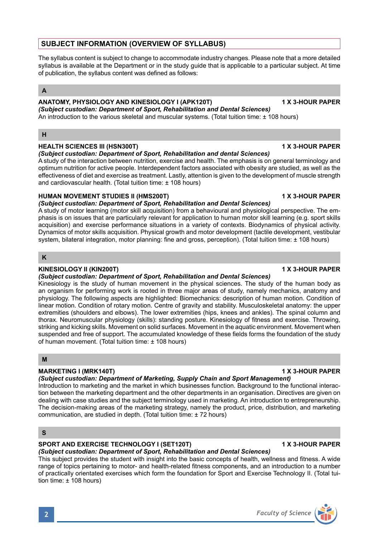# **SUBJECT INFORMATION (OVERVIEW OF SYLLABUS)**

The syllabus content is subject to change to accommodate industry changes. Please note that a more detailed syllabus is available at the Department or in the study guide that is applicable to a particular subject. At time of publication, the syllabus content was defined as follows:

# **A**

# **ANATOMY, PHYSIOLOGY AND KINESIOLOGY I (APK120T) 1 X 3-HOUR PAPER**

*(Subject custodian: Department of Sport, Rehabilitation and Dental Sciences)* An introduction to the various skeletal and muscular systems. (Total tuition time: ± 108 hours)

## **H**

# **HEALTH SCIENCES III (HSN300T) 1 X 3-HOUR PAPER**

### *(Subject custodian: Department of Sport, Rehabilitation and dental Sciences)*

A study of the interaction between nutrition, exercise and health. The emphasis is on general terminology and optimum nutrition for active people. Interdependent factors associated with obesity are studied, as well as the effectiveness of diet and exercise as treatment. Lastly, attention is given to the development of muscle strength and cardiovascular health. (Total tuition time: ± 108 hours)

## **HUMAN MOVEMENT STUDIES II (HMS200T) 1 X 3-HOUR PAPER**

### *(Subject custodian: Department of Sport, Rehabilitation and Dental Sciences)*

A study of motor learning (motor skill acquisition) from a behavioural and physiological perspective. The emphasis is on issues that are particularly relevant for application to human motor skill learning (e.g. sport skills acquisition) and exercise performance situations in a variety of contexts. Biodynamics of physical activity. Dynamics of motor skills acquisition. Physical growth and motor development (tactile development, vestibular system, bilateral integration, motor planning: fine and gross, perception). (Total tuition time: ± 108 hours)

# **K**

# **KINESIOLOGY II (KIN200T) 1 X 3-HOUR PAPER**

### *(Subject custodian: Department of Sport, Rehabilitation and Dental Sciences)*

Kinesiology is the study of human movement in the physical sciences. The study of the human body as an organism for performing work is rooted in three major areas of study, namely mechanics, anatomy and physiology. The following aspects are highlighted: Biomechanics: description of human motion. Condition of linear motion. Condition of rotary motion. Centre of gravity and stability. Musculoskeletal anatomy: the upper extremities (shoulders and elbows). The lower extremities (hips, knees and ankles). The spinal column and thorax. Neuromuscular physiology (skills): standing posture. Kinesiology of fitness and exercise. Throwing, striking and kicking skills. Movement on solid surfaces. Movement in the aquatic environment. Movement when suspended and free of support. The accumulated knowledge of these fields forms the foundation of the study of human movement. (Total tuition time: ± 108 hours)

### **M**

# **MARKETING I (MRK140T)** 1 X 3-HOUR PAPER

### *(Subject custodian: Department of Marketing, Supply Chain and Sport Management)* Introduction to marketing and the market in which businesses function. Background to the functional interac-

tion between the marketing department and the other departments in an organisation. Directives are given on dealing with case studies and the subject terminology used in marketing. An introduction to entrepreneurship. The decision-making areas of the marketing strategy, namely the product, price, distribution, and marketing communication, are studied in depth. (Total tuition time: ± 72 hours)

# **S**

# **SPORT AND EXERCISE TECHNOLOGY I (SET120T) 1 X 3-HOUR PAPER**

# *(Subject custodian: Department of Sport, Rehabilitation and Dental Sciences)*

This subject provides the student with insight into the basic concepts of health, wellness and fitness. A wide range of topics pertaining to motor- and health-related fitness components, and an introduction to a number of practically orientated exercises which form the foundation for Sport and Exercise Technology II. (Total tuition time: ± 108 hours)